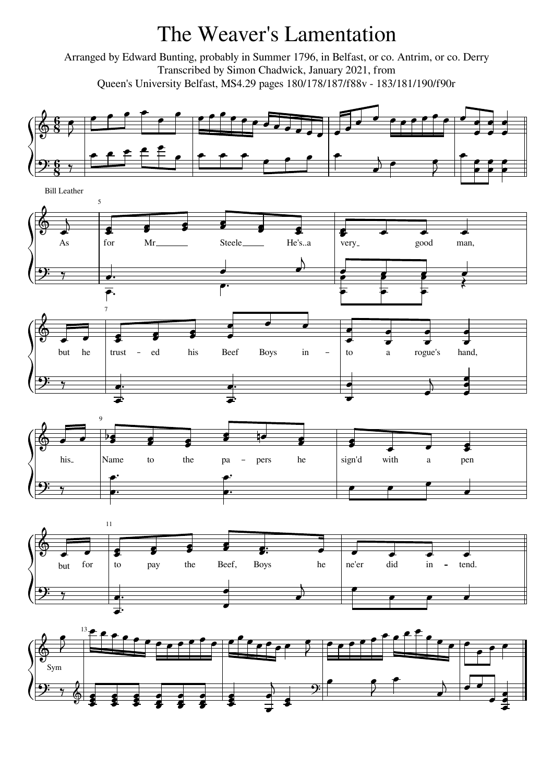## The Weaver's Lamentation

Arranged by Edward Bunting, probably in Summer 1796, in Belfast, or co. Antrim, or co. Derry Transcribed by Simon Chadwick, January 2021, from Queen's University Belfast, MS4.29 pages 180/178/187/f88v - 183/181/190/f90r